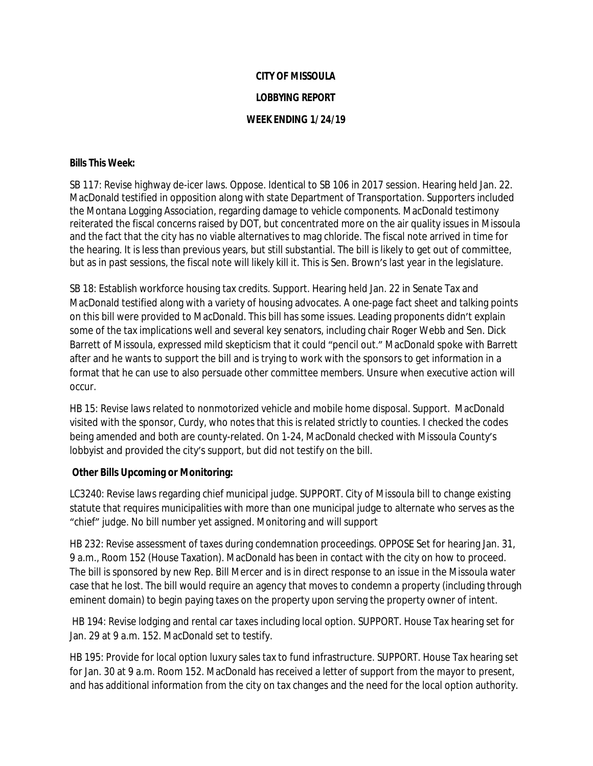## **CITY OF MISSOULA LOBBYING REPORT WEEK ENDING 1/24/19**

## **Bills This Week:**

SB 117: Revise highway de-icer laws. Oppose. Identical to SB 106 in 2017 session. Hearing held Jan. 22. MacDonald testified in opposition along with state Department of Transportation. Supporters included the Montana Logging Association, regarding damage to vehicle components. MacDonald testimony reiterated the fiscal concerns raised by DOT, but concentrated more on the air quality issues in Missoula and the fact that the city has no viable alternatives to mag chloride. The fiscal note arrived in time for the hearing. It is less than previous years, but still substantial. The bill is likely to get out of committee, but as in past sessions, the fiscal note will likely kill it. This is Sen. Brown's last year in the legislature.

SB 18: Establish workforce housing tax credits. Support. Hearing held Jan. 22 in Senate Tax and MacDonald testified along with a variety of housing advocates. A one-page fact sheet and talking points on this bill were provided to MacDonald. This bill has some issues. Leading proponents didn't explain some of the tax implications well and several key senators, including chair Roger Webb and Sen. Dick Barrett of Missoula, expressed mild skepticism that it could "pencil out." MacDonald spoke with Barrett after and he wants to support the bill and is trying to work with the sponsors to get information in a format that he can use to also persuade other committee members. Unsure when executive action will occur.

HB 15: Revise laws related to nonmotorized vehicle and mobile home disposal. Support. MacDonald visited with the sponsor, Curdy, who notes that this is related strictly to counties. I checked the codes being amended and both are county-related. On 1-24, MacDonald checked with Missoula County's lobbyist and provided the city's support, but did not testify on the bill.

## **Other Bills Upcoming or Monitoring:**

LC3240: Revise laws regarding chief municipal judge. SUPPORT. City of Missoula bill to change existing statute that requires municipalities with more than one municipal judge to alternate who serves as the "chief" judge. No bill number yet assigned. Monitoring and will support

HB 232: Revise assessment of taxes during condemnation proceedings. OPPOSE Set for hearing Jan. 31, 9 a.m., Room 152 (House Taxation). MacDonald has been in contact with the city on how to proceed. The bill is sponsored by new Rep. Bill Mercer and is in direct response to an issue in the Missoula water case that he lost. The bill would require an agency that moves to condemn a property (including through eminent domain) to begin paying taxes on the property upon serving the property owner of intent.

HB 194: Revise lodging and rental car taxes including local option. SUPPORT. House Tax hearing set for Jan. 29 at 9 a.m. 152. MacDonald set to testify.

HB 195: Provide for local option luxury sales tax to fund infrastructure. SUPPORT. House Tax hearing set for Jan. 30 at 9 a.m. Room 152. MacDonald has received a letter of support from the mayor to present, and has additional information from the city on tax changes and the need for the local option authority.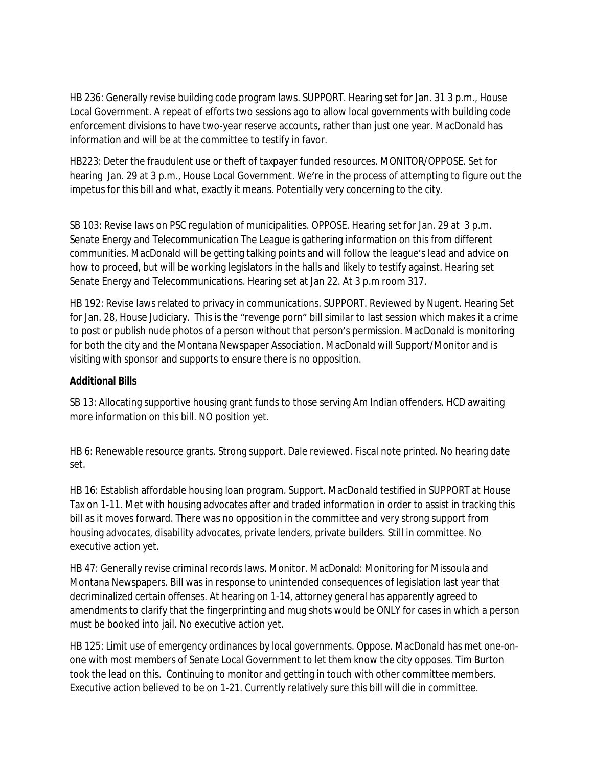HB 236: Generally revise building code program laws. SUPPORT. Hearing set for Jan. 31 3 p.m., House Local Government. A repeat of efforts two sessions ago to allow local governments with building code enforcement divisions to have two-year reserve accounts, rather than just one year. MacDonald has information and will be at the committee to testify in favor.

HB223: Deter the fraudulent use or theft of taxpayer funded resources. MONITOR/OPPOSE. Set for hearing Jan. 29 at 3 p.m., House Local Government. We're in the process of attempting to figure out the impetus for this bill and what, exactly it means. Potentially very concerning to the city.

SB 103: Revise laws on PSC regulation of municipalities. OPPOSE. Hearing set for Jan. 29 at 3 p.m. Senate Energy and Telecommunication The League is gathering information on this from different communities. MacDonald will be getting talking points and will follow the league's lead and advice on how to proceed, but will be working legislators in the halls and likely to testify against. Hearing set Senate Energy and Telecommunications. Hearing set at Jan 22. At 3 p.m room 317.

HB 192: Revise laws related to privacy in communications. SUPPORT. Reviewed by Nugent. Hearing Set for Jan. 28, House Judiciary. This is the "revenge porn" bill similar to last session which makes it a crime to post or publish nude photos of a person without that person's permission. MacDonald is monitoring for both the city and the Montana Newspaper Association. MacDonald will Support/Monitor and is visiting with sponsor and supports to ensure there is no opposition.

## **Additional Bills**

SB 13: Allocating supportive housing grant funds to those serving Am Indian offenders. HCD awaiting more information on this bill. NO position yet.

HB 6: Renewable resource grants. Strong support. Dale reviewed. Fiscal note printed. No hearing date set.

HB 16: Establish affordable housing loan program. Support. MacDonald testified in SUPPORT at House Tax on 1-11. Met with housing advocates after and traded information in order to assist in tracking this bill as it moves forward. There was no opposition in the committee and very strong support from housing advocates, disability advocates, private lenders, private builders. Still in committee. No executive action yet.

HB 47: Generally revise criminal records laws. Monitor. MacDonald: Monitoring for Missoula and Montana Newspapers. Bill was in response to unintended consequences of legislation last year that decriminalized certain offenses. At hearing on 1-14, attorney general has apparently agreed to amendments to clarify that the fingerprinting and mug shots would be ONLY for cases in which a person must be booked into jail. No executive action yet.

HB 125: Limit use of emergency ordinances by local governments. Oppose. MacDonald has met one-onone with most members of Senate Local Government to let them know the city opposes. Tim Burton took the lead on this. Continuing to monitor and getting in touch with other committee members. Executive action believed to be on 1-21. Currently relatively sure this bill will die in committee.